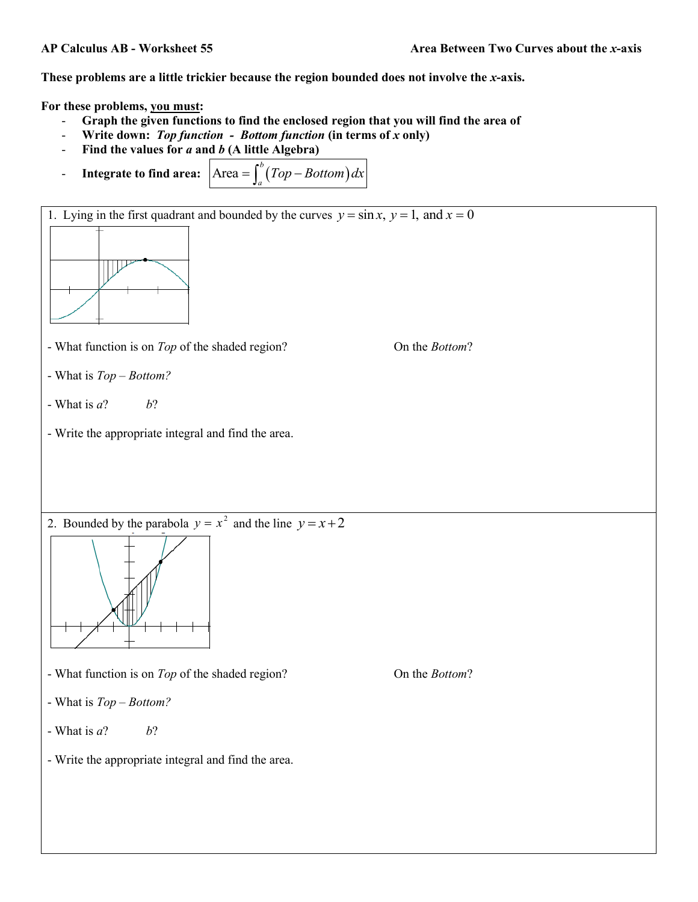These problems are a little trickier because the region bounded does not involve the *x*-axis.

**For these problems, you must:**

- **Graph the given functions to find the enclosed region that you will find the area of**
- **Write down:** *Top function Bottom function* **(in terms of** *x* **only)**
- **Find the values for** *a* **and** *b* **(A little Algebra)**
- **Integrate to find area:**  $\begin{bmatrix} \text{Area} = \int_0^b (Top Bottom) \end{bmatrix}$  $=\int_a^b (Top-Bottom)dx$



- What function is on *Top* of the shaded region? On the *Bottom*?
- What is *Top – Bottom?*
- What is  $a^2$  *b*?
- Write the appropriate integral and find the area.

2. Bounded by the parabola  $y = x^2$  and the line  $y = x + 2$ 



- What function is on *Top* of the shaded region? On the *Bottom*?
- What is *Top – Bottom?*
- What is *a*? *b*?

- Write the appropriate integral and find the area.